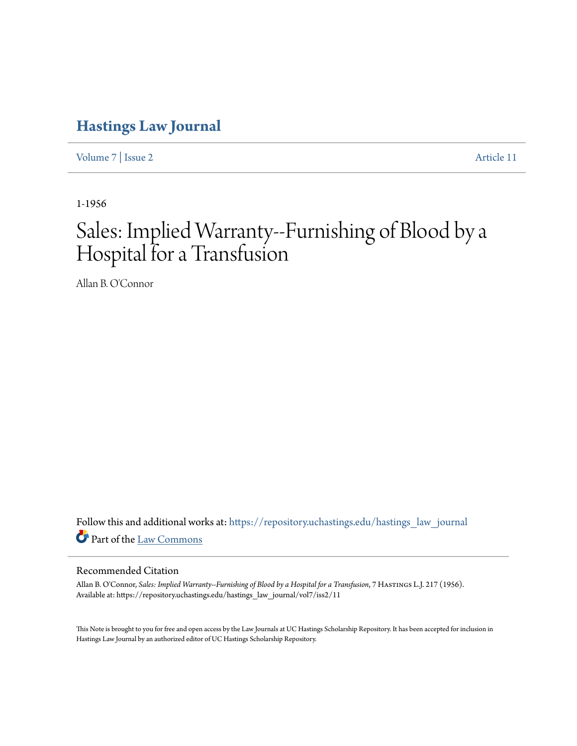## **[Hastings Law Journal](https://repository.uchastings.edu/hastings_law_journal?utm_source=repository.uchastings.edu%2Fhastings_law_journal%2Fvol7%2Fiss2%2F11&utm_medium=PDF&utm_campaign=PDFCoverPages)**

[Volume 7](https://repository.uchastings.edu/hastings_law_journal/vol7?utm_source=repository.uchastings.edu%2Fhastings_law_journal%2Fvol7%2Fiss2%2F11&utm_medium=PDF&utm_campaign=PDFCoverPages) | [Issue 2](https://repository.uchastings.edu/hastings_law_journal/vol7/iss2?utm_source=repository.uchastings.edu%2Fhastings_law_journal%2Fvol7%2Fiss2%2F11&utm_medium=PDF&utm_campaign=PDFCoverPages) [Article 11](https://repository.uchastings.edu/hastings_law_journal/vol7/iss2/11?utm_source=repository.uchastings.edu%2Fhastings_law_journal%2Fvol7%2Fiss2%2F11&utm_medium=PDF&utm_campaign=PDFCoverPages)

1-1956

## Sales: Implied Warranty--Furnishing of Blood by a Hospital for a Transfusion

Allan B. O'Connor

Follow this and additional works at: [https://repository.uchastings.edu/hastings\\_law\\_journal](https://repository.uchastings.edu/hastings_law_journal?utm_source=repository.uchastings.edu%2Fhastings_law_journal%2Fvol7%2Fiss2%2F11&utm_medium=PDF&utm_campaign=PDFCoverPages) Part of the [Law Commons](http://network.bepress.com/hgg/discipline/578?utm_source=repository.uchastings.edu%2Fhastings_law_journal%2Fvol7%2Fiss2%2F11&utm_medium=PDF&utm_campaign=PDFCoverPages)

## Recommended Citation

Allan B. O'Connor, *Sales: Implied Warranty--Furnishing of Blood by a Hospital for a Transfusion*, 7 Hastings L.J. 217 (1956). Available at: https://repository.uchastings.edu/hastings\_law\_journal/vol7/iss2/11

This Note is brought to you for free and open access by the Law Journals at UC Hastings Scholarship Repository. It has been accepted for inclusion in Hastings Law Journal by an authorized editor of UC Hastings Scholarship Repository.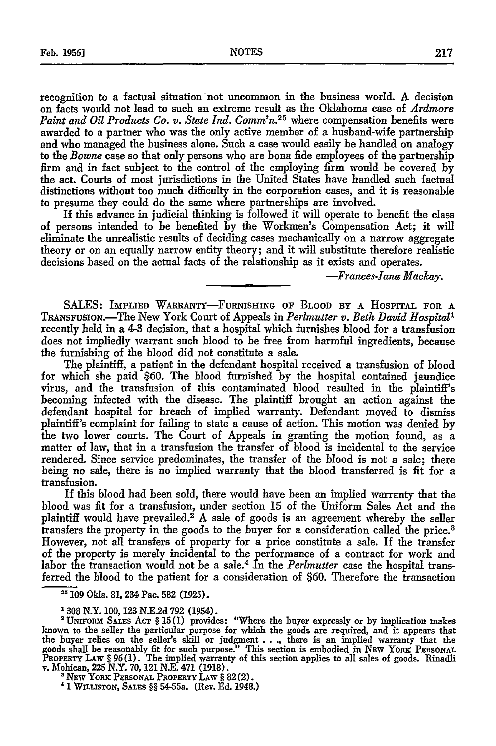recognition to a factual situation not uncommon in the business world. A decision on facts would not lead to such an extreme result as the Oklahoma case of *Ardmore* Paint and Oil Products Co. v. State Ind. Comm'n.<sup>25</sup> where compensation benefits were awarded to a partner who was the only active member of a husband-wife partnership and who managed the business alone. Such a case would easily be handled on analogy to the *Bowne* case so that only persons who are bona fide employees of the partnership firm and in fact subject to the control of the employing firm would be covered by the act. Courts of most jurisdictions in the United States have handled such factual distinctions without too much difficulty in the corporation cases, and it is reasonable to presume they could do the same where partnerships are involved.

If this advance in judicial thinking is followed it will operate to benefit the class of persons intended to be benefited by the Workmen's Compensation Act; it will eliminate the unrealistic results of deciding cases mechanically on a narrow aggregate theory or on an equally narrow entity theory; and it will substitute therefore realistic decisions based on the actual facts of the relationship as it exists and operates.

*-Frances-lana Mackay.*

SALES: IMPLIED WARRANTY-FuRNISHING **OF** BLOOD BY A HOSPITAL FOR A TRANSFUSION.-The New York Court of Appeals in *Perlmutter v. Beth David Hospital1* recently held in a 4-3 decision, that a hospital which furnishes blood for a transfusion does not impliedly warrant such blood to be free from harmful ingredients, because the furnishing of the blood did not constitute a sale.

The plaintiff, a patient in the defendant hospital received a transfusion of blood for which she paid \$60. The blood furnished by the hospital contained jaundice virus, and the transfusion of this contaminated blood resulted in the plaintiff's becoming infected with the disease. The plaintiff brought an action against the defendant hospital for breach of implied warranty. Defendant moved to dismiss plaintiff's complaint for failing to state a cause of action. This motion was denied by the two lower courts. The Court of Appeals in granting the motion found, as a matter of law, that in a transfusion the transfer of blood is incidental to the service rendered. Since service predominates, the transfer of the blood is not a sale; there being no sale, there is no implied warranty that the blood transferred is fit for a transfusion.

If this blood had been sold, there would have been an implied warranty that the blood was fit for a transfusion, under section 15 of the Uniform Sales Act and the plaintiff would have prevailed.<sup>2</sup> A sale of goods is an agreement whereby the seller transfers the property in the goods to the buyer for a consideration called the price. <sup>3</sup> However, not all transfers of property for a price constitute a sale. If the transfer of the property is merely incidental to the performance of a contract for work and labor the transaction would not be a sale.4 In the *Perlmutter* case the hospital transferred the blood to the patient for a consideration of \$60. Therefore the transaction

*'1* **WILLISTON, SALES** §§ 54-55a. (Rev. Ed. 1948.)

*<sup>&</sup>quot; 109* Okla. 81, 234 Pac. 582 (1925).

<sup>1308</sup> N.Y. 100, 123 N.E.2d 792 (1954).

<sup>&</sup>lt;sup>2</sup> UNIFORM SALES ACT § 15(1) provides: "Where the buyer expressly or by implication makes<br>known to the seller the particular purpose for which the goods are required, and it appears that<br>the buyer relies on the seller's s goods shall be reasonably fit for such purpose." This section is embodied in **NEw** YORK **PERSONAL PROPERTY** LAW **§** *96* (1). The implied warranty of this section applies to all sales of goods. Rinadli v. Mohican, **225** N.Y. 70, 121 N.E. 471 (1918).

**<sup>1</sup>** NEW YORK **PERSONAL PROPERTY** LAW **§** 82(2).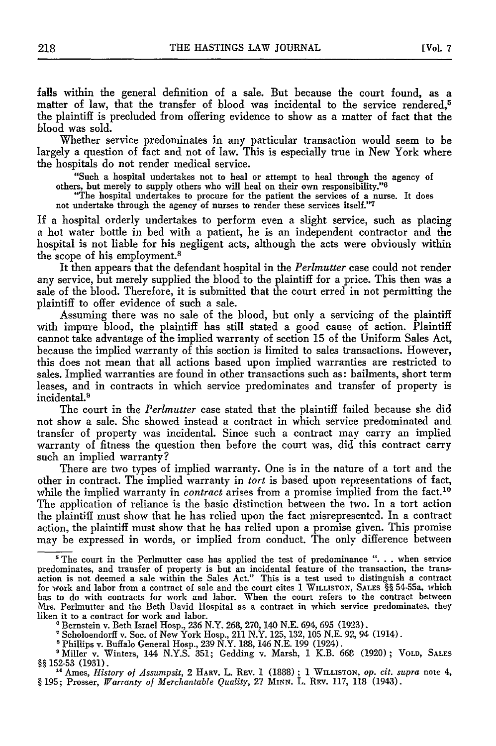falls within the general definition of a sale. But because the court found, as a matter of law, that the transfer of blood was incidental to the service rendered,<sup>5</sup> the plaintiff is precluded from offering evidence to show as a matter of fact that the blood was sold.

Whether service predominates in any particular transaction would seem to be largely a question of fact and not of law. This is especially true in New York where the hospitals do not render medical service.

"Such a hospital undertakes not to heal or attempt to heal through the agency of others, but merely to supply others who will heal on their own responsibility."<sup>6</sup><br>"The hospital undertakes to procure for the patient the services of a nurse. It does

not undertake through the agency of nurses to render these services itself."7

If a hospital orderly undertakes to perform even a slight service, such as placing a hot water bottle in bed with a patient, he is an independent contractor and the hospital is not liable for his negligent acts, although the acts were obviously within the scope of his employment.8

It then appears that the defendant hospital in the *Perlmutter* case could not render any service, but merely supplied the blood to the plaintiff for a price. This then was a sale of the blood. Therefore, it is submitted that the court erred in not permitting the plaintiff to offer evidence of such a sale.

Assuming there was no sale of the blood, but only a servicing of the plaintiff with impure blood, the plaintiff has still stated a good cause of action. Plaintiff cannot take advantage of the implied warranty of section **15** of the Uniform Sales Act, because the implied warranty of this section is limited to sales transactions. However, this does not mean that all actions based upon implied warranties are restricted to sales. Implied warranties are found in other transactions such as: bailments, short term leases, and in contracts in which service predominates and transfer of property is incidental.<sup>9</sup>

The court in the *Perlmutter* case stated that the plaintiff failed because she did not show a sale. She showed instead a contract in which service predominated and transfer of property was incidental. Since such a contract may carry an implied warranty of fitness the question then before the court was, did this contract carry such an implied warranty?

There are two types of implied warranty. One is in the nature of a tort and the other in contract. The implied warranty in *tort* is based upon representations of fact, while the implied warranty in *contract* arises from a promise implied from the fact.<sup>10</sup> The application of reliance is the basic distinction between the two. In a tort action the plaintiff must show that he has relied upon the fact misrepresented. In a contract action, the plaintiff must show that he has relied upon a promise given. This promise may be expressed in words, or implied from conduct. The only difference between

**<sup>&#</sup>x27;** The court in the Perlmutter case has applied the test of predominance **". . .** when service predominates, and transfer of property is but an incidental feature of the transaction, the transaction is not deemed a sale within the Sales Act." This is a test used to distinguish a contract for work and labor from a contract of sale and the court cites **1 WILLISTON, SALES §§** 54-55a, which has to do with contracts for work and labor. When the court refers to the contract between Mrs. Perlmutter and the Beth David Hospital as a contract in which service predominates, they liken it to a contract for work and labor.

**<sup>\*</sup>** Bernstein v. Beth Israel Hosp., **236** N.Y. **268, 270,** 140 **N.E.** 694, **695 (1923).**

**<sup>\*</sup>** Scholoendorff v. Soc. of New York Hosp., 211 N.Y. **125, 132, 105 N.E. 92,** 94 (1914). 'Phillips v. Buffalo General Hosp., **239** N.Y. **188,** 146 **N.E. 199** (1924).

<sup>&#</sup>x27;Miller v. Winters, 144 **N.Y.S. 351;** Gedding v. Marsh, **1** K.B. **668 (1920) ; VOLD, SALES §§152-53 (1931).**

<sup>&</sup>lt;sup>10</sup> Ames, *History of Assumpsit*, 2 HARV. L. REV. 1 (1888); 1 WILLISTON, op. *cit. supra* note 4, **§ 195;** Prosser, *Warranty of Merchantable Quality,* **27 MINN.** L. **REv. 117, 118** (1943).